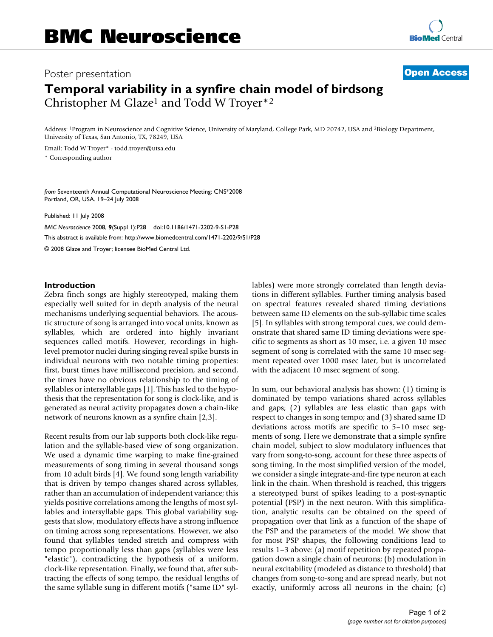## Poster presentation **Contract Contract Contract Contract Contract Contract Contract Contract Contract Contract Contract Contract Contract Contract Contract Contract Contract Contract Contract Contract Contract Contract Con Temporal variability in a synfire chain model of birdsong** Christopher M Glaze<sup>1</sup> and Todd W Troyer<sup>\*2</sup>

Address: 1Program in Neuroscience and Cognitive Science, University of Maryland, College Park, MD 20742, USA and 2Biology Department, University of Texas, San Antonio, TX, 78249, USA

Email: Todd W Troyer\* - todd.troyer@utsa.edu

\* Corresponding author

*from* Seventeenth Annual Computational Neuroscience Meeting: CNS\*2008 Portland, OR, USA. 19–24 July 2008

Published: 11 July 2008

*BMC Neuroscience* 2008, **9**(Suppl 1):P28 doi:10.1186/1471-2202-9-S1-P28 [This abstract is available from: http://www.biomedcentral.com/1471-2202/9/S1/P28](http://www.biomedcentral.com/1471-2202/9/S1/P28) © 2008 Glaze and Troyer; licensee BioMed Central Ltd.

## **Introduction**

Zebra finch songs are highly stereotyped, making them especially well suited for in depth analysis of the neural mechanisms underlying sequential behaviors. The acoustic structure of song is arranged into vocal units, known as syllables, which are ordered into highly invariant sequences called motifs. However, recordings in highlevel premotor nuclei during singing reveal spike bursts in individual neurons with two notable timing properties: first, burst times have millisecond precision, and second, the times have no obvious relationship to the timing of syllables or intersyllable gaps [1]. This has led to the hypothesis that the representation for song is clock-like, and is generated as neural activity propagates down a chain-like network of neurons known as a synfire chain [2,3].

Recent results from our lab supports both clock-like regulation and the syllable-based view of song organization. We used a dynamic time warping to make fine-grained measurements of song timing in several thousand songs from 10 adult birds [4]. We found song length variability that is driven by tempo changes shared across syllables, rather than an accumulation of independent variance; this yields positive correlations among the lengths of most syllables and intersyllable gaps. This global variability suggests that slow, modulatory effects have a strong influence on timing across song representations. However, we also found that syllables tended stretch and compress with tempo proportionally less than gaps (syllables were less "elastic"), contradicting the hypothesis of a uniform, clock-like representation. Finally, we found that, after subtracting the effects of song tempo, the residual lengths of the same syllable sung in different motifs ("same ID" syllables) were more strongly correlated than length deviations in different syllables. Further timing analysis based on spectral features revealed shared timing deviations between same ID elements on the sub-syllabic time scales [5]. In syllables with strong temporal cues, we could demonstrate that shared same ID timing deviations were specific to segments as short as 10 msec, i.e. a given 10 msec segment of song is correlated with the same 10 msec segment repeated over 1000 msec later, but is uncorrelated with the adjacent 10 msec segment of song.

In sum, our behavioral analysis has shown: (1) timing is dominated by tempo variations shared across syllables and gaps; (2) syllables are less elastic than gaps with respect to changes in song tempo; and (3) shared same ID deviations across motifs are specific to 5–10 msec segments of song. Here we demonstrate that a simple synfire chain model, subject to slow modulatory influences that vary from song-to-song, account for these three aspects of song timing. In the most simplified version of the model, we consider a single integrate-and-fire type neuron at each link in the chain. When threshold is reached, this triggers a stereotyped burst of spikes leading to a post-synaptic potential (PSP) in the next neuron. With this simplification, analytic results can be obtained on the speed of propagation over that link as a function of the shape of the PSP and the parameters of the model. We show that for most PSP shapes, the following conditions lead to results 1–3 above: (a) motif repetition by repeated propagation down a single chain of neurons; (b) modulation in neural excitability (modeled as distance to threshold) that changes from song-to-song and are spread nearly, but not exactly, uniformly across all neurons in the chain; (c)